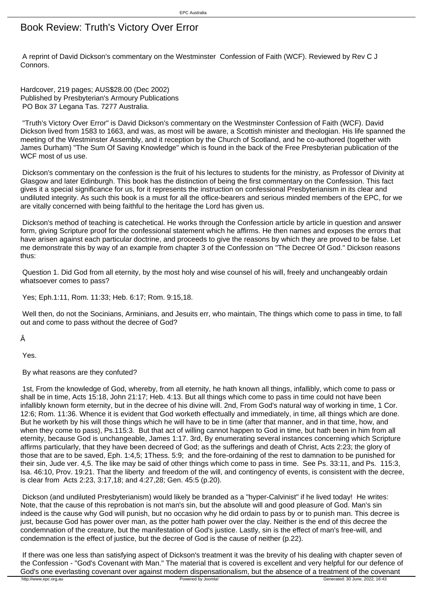## Book Review: Truth's Victory Over Error

 A reprint of David Dickson's commentary on the Westminster Confession of Faith (WCF). Reviewed by Rev C J Connors.

Hardcover, 219 pages; AUS\$28.00 (Dec 2002) Published by Presbyterian's Armoury Publications PO Box 37 Legana Tas. 7277 Australia.

 "Truth's Victory Over Error" is David Dickson's commentary on the Westminster Confession of Faith (WCF). David Dickson lived from 1583 to 1663, and was, as most will be aware, a Scottish minister and theologian. His life spanned the meeting of the Westminster Assembly, and it reception by the Church of Scotland, and he co-authored (together with James Durham) "The Sum Of Saving Knowledge" which is found in the back of the Free Presbyterian publication of the WCF most of us use.

 Dickson's commentary on the confession is the fruit of his lectures to students for the ministry, as Professor of Divinity at Glasgow and later Edinburgh. This book has the distinction of being the first commentary on the Confession. This fact gives it a special significance for us, for it represents the instruction on confessional Presbyterianism in its clear and undiluted integrity. As such this book is a must for all the office-bearers and serious minded members of the EPC, for we are vitally concerned with being faithful to the heritage the Lord has given us.

 Dickson's method of teaching is catechetical. He works through the Confession article by article in question and answer form, giving Scripture proof for the confessional statement which he affirms. He then names and exposes the errors that have arisen against each particular doctrine, and proceeds to give the reasons by which they are proved to be false. Let me demonstrate this by way of an example from chapter 3 of the Confession on "The Decree Of God." Dickson reasons thus:

 Question 1. Did God from all eternity, by the most holy and wise counsel of his will, freely and unchangeably ordain whatsoever comes to pass?

Yes; Eph.1:11, Rom. 11:33; Heb. 6:17; Rom. 9:15,18.

 Well then, do not the Socinians, Arminians, and Jesuits err, who maintain, The things which come to pass in time, to fall out and come to pass without the decree of God?

Â

Yes.

By what reasons are they confuted?

 1st, From the knowledge of God, whereby, from all eternity, he hath known all things, infallibly, which come to pass or shall be in time, Acts 15:18, John 21:17; Heb. 4:13. But all things which come to pass in time could not have been infallibly known form eternity, but in the decree of his divine will. 2nd, From God's natural way of working in time, 1 Cor. 12:6; Rom. 11:36. Whence it is evident that God worketh effectually and immediately, in time, all things which are done. But he worketh by his will those things which he will have to be in time (after that manner, and in that time, how, and when they come to pass), Ps.115:3. But that act of willing cannot happen to God in time, but hath been in him from all eternity, because God is unchangeable, James 1:17. 3rd, By enumerating several instances concerning which Scripture affirms particularly, that they have been decreed of God; as the sufferings and death of Christ, Acts 2:23; the glory of those that are to be saved, Eph. 1:4,5; 1Thess. 5:9; and the fore-ordaining of the rest to damnation to be punished for their sin, Jude ver. 4,5. The like may be said of other things which come to pass in time. See Ps. 33:11, and Ps. 115:3, Isa. 46:10, Prov. 19:21. That the liberty and freedom of the will, and contingency of events, is consistent with the decree, is clear from Acts 2:23, 3:17,18; and 4:27,28; Gen. 45:5 (p.20).

 Dickson (and undiluted Presbyterianism) would likely be branded as a "hyper-Calvinist" if he lived today! He writes: Note, that the cause of this reprobation is not man's sin, but the absolute will and good pleasure of God. Man's sin indeed is the cause why God will punish, but no occasion why he did ordain to pass by or to punish man. This decree is just, because God has power over man, as the potter hath power over the clay. Neither is the end of this decree the condemnation of the creature, but the manifestation of God's justice. Lastly, sin is the effect of man's free-will, and condemnation is the effect of justice, but the decree of God is the cause of neither (p.22).

 If there was one less than satisfying aspect of Dickson's treatment it was the brevity of his dealing with chapter seven of the Confession - "God's Covenant with Man." The material that is covered is excellent and very helpful for our defence of God's one everlasting covenant over against modern dispensationalism, but the absence of a treatment of the covenant<br> **Experiment of the covenant** Conerated: 30 June, 2022, 16:43